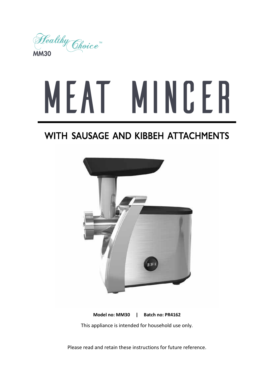

# MEAT MINCER

## WITH SAUSAGE AND KIBBEH ATTACHMENTS



**Model no: MM30 | Batch no: PR4162** This appliance is intended for household use only.

Please read and retain these instructions for future reference.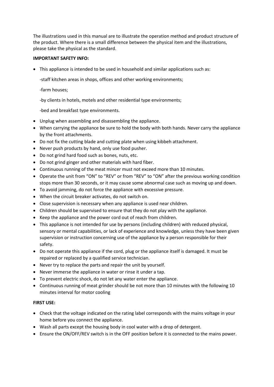The illustrations used in this manual are to illustrate the operation method and product structure of the product. Where there is a small difference between the physical item and the illustrations, please take the physical as the standard.

#### **IMPORTANT SAFETY INFO:**

• This appliance is intended to be used in household and similar applications such as:

-staff kitchen areas in shops, offices and other working environments;

-farm houses;

-by clients in hotels, motels and other residential type environments;

-bed and breakfast type environments.

- Unplug when assembling and disassembling the appliance.
- When carrying the appliance be sure to hold the body with both hands. Never carry the appliance by the front attachments.
- Do not fix the cutting blade and cutting plate when using kibbeh attachment.
- Never push products by hand, only use food pusher.
- Do not grind hard food such as bones, nuts, etc.
- Do not grind ginger and other materials with hard fiber.
- Continuous running of the meat mincer must not exceed more than 10 minutes.
- Operate the unit from "ON" to "REV" or from "REV" to "ON" after the previous working condition stops more than 30 seconds, or it may cause some abnormal case such as moving up and down.
- To avoid jamming, do not force the appliance with excessive pressure.
- When the circuit breaker activates, do not switch on.
- Close supervision is necessary when any appliance is used near children.
- Children should be supervised to ensure that they do not play with the appliance.
- Keep the appliance and the power cord out of reach from children.
- This appliance is not intended for use by persons (including children) with reduced physical, sensory or mental capabilities, or lack of experience and knowledge, unless they have been given supervision or instruction concerning use of the appliance by a person responsible for their safety.
- Do not operate this appliance if the cord, plug or the appliance itself is damaged. It must be repaired or replaced by a qualified service technician.
- Never try to replace the parts and repair the unit by yourself.
- Never immerse the appliance in water or rinse it under a tap.
- To prevent electric shock, do not let any water enter the appliance.
- Continuous running of meat grinder should be not more than 10 minutes with the following 10 minutes interval for motor cooling

#### **FIRST USE:**

- Check that the voltage indicated on the rating label corresponds with the mains voltage in your home before you connect the appliance.
- Wash all parts except the housing body in cool water with a drop of detergent.
- Ensure the ON/OFF/REV switch is in the OFF position before it is connected to the mains power.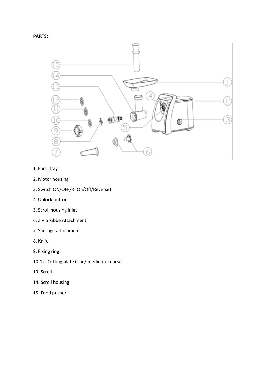



- 1. Food tray
- 2. Motor housing
- 3. Switch ON/OFF/R (On/Off/Reverse)
- 4. Unlock button
- 5. Scroll housing inlet
- 6. a + b Kibbe Attachment
- 7. Sausage attachment
- 8. Knife
- 9. Fixing ring
- 10-12. Cutting plate (fine/ medium/ coarse)
- 13. Scroll
- 14. Scroll housing
- 15. Food pusher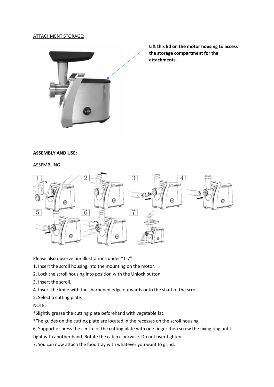#### ATTACHMENT STORAGE:



**Lift this lid on the motor housing to access the storage compartment for the attachments.**

#### **ASSEMBLY AND USE:**

#### ASSEMBLING



Please also observe our illustrations under "1-7".

1. Insert the scroll housing into the mounting on the motor.

- 2. Lock the scroll housing into position with the Unlock button.
- 3. Insert the scroll.

4. Insert the knife with the sharpened edge outwards onto the shaft of the scroll.

5. Select a cutting plate.

NOTE:

\*Slightly grease the cutting plate beforehand with vegetable fat.

\*The guides on the cutting plate are located in the recesses on the scroll housing.

6. Support or press the centre of the cutting plate with one finger then screw the fixing ring until

tight with another hand. Rotate the catch clockwise. Do not over tighten.

7. You can now attach the food tray with whatever you want to grind.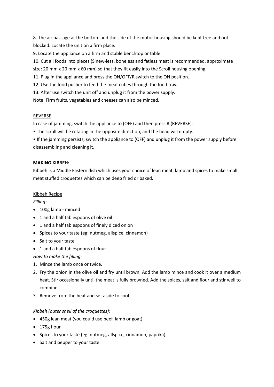8. The air passage at the bottom and the side of the motor housing should be kept free and not blocked. Locate the unit on a firm place.

9. Locate the appliance on a firm and stable benchtop or table.

10. Cut all foods into pieces (Sinew-less, boneless and fatless meat is recommended, approximate size: 20 mm x 20 mm x 60 mm) so that they fit easily into the Scroll housing opening.

- 11. Plug in the appliance and press the ON/OFF/R switch to the ON position.
- 12. Use the food pusher to feed the meat cubes through the food tray.
- 13. After use switch the unit off and unplug it from the power supply.

Note: Firm fruits, vegetables and cheeses can also be minced.

#### REVERSE

In case of jamming, switch the appliance to (OFF) and then press R (REVERSE).

• The scroll will be rotating in the opposite direction, and the head will empty.

• If the jamming persists, switch the appliance to (OFF) and unplug it from the power supply before disassembling and cleaning it.

#### **MAKING KIBBEH:**

Kibbeh is a Middle Eastern dish which uses your choice of lean meat, lamb and spices to make small meat stuffed croquettes which can be deep fried or baked.

#### Kibbeh Recipe

*Filling:*

- $\bullet$  100g lamb minced
- 1 and a half tablespoons of olive oil
- 1 and a half tablespoons of finely diced onion
- Spices to your taste (eg: nutmeg, allspice, cinnamon)
- Salt to your taste
- 1 and a half tablespoons of flour

*How to make the filling:*

- 1. Mince the lamb once or twice.
- 2. Fry the onion in the olive oil and fry until brown. Add the lamb mince and cook it over a medium heat. Stir occasionally until the meat is fully browned. Add the spices, salt and flour and stir well to combine.
- 3. Remove from the heat and set aside to cool.

#### *Kibbeh (outer shell of the croquettes):*

- 450g lean meat (you could use beef, lamb or goat)
- $\bullet$  175g flour
- Spices to your taste (eg: nutmeg, allspice, cinnamon, paprika)
- Salt and pepper to your taste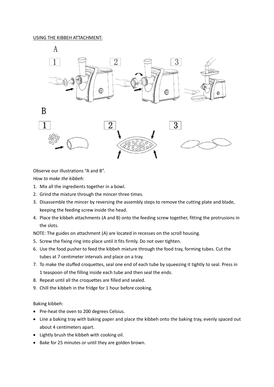

Observe our illustrations "A and B".

*How to make the kibbeh:*

- 1. Mix all the ingredients together in a bowl.
- 2. Grind the mixture through the mincer three times.
- 3. Disassemble the mincer by reversing the assembly steps to remove the cutting plate and blade, keeping the feeding screw inside the head.
- 4. Place the kibbeh attachments (A and B) onto the feeding screw together, fitting the protrusions in the slots.

NOTE: The guides on attachment (A) are located in recesses on the scroll housing.

- 5. Screw the fixing ring into place until it fits firmly. Do not over tighten.
- 6. Use the food pusher to feed the kibbeh mixture through the food tray, forming tubes. Cut the tubes at 7 centimeter intervals and place on a tray.
- 7. To make the stuffed croquettes, seal one end of each tube by squeezing it tightly to seal. Press in 1 teaspoon of the filling inside each tube and then seal the ends.
- 8. Repeat until all the croquettes are filled and sealed.
- 9. Chill the kibbeh in the fridge for 1 hour before cooking.

#### Baking kibbeh:

- Pre-heat the oven to 200 degrees Celsius.
- Line a baking tray with baking paper and place the kibbeh onto the baking tray, evenly spaced out about 4 centimeters apart.
- Lightly brush the kibbeh with cooking oil.
- Bake for 25 minutes or until they are golden brown.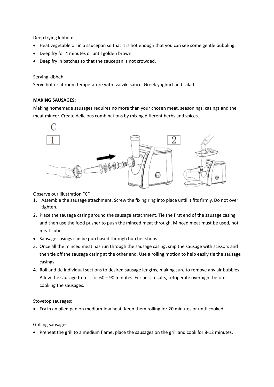Deep frying kibbeh:

- Heat vegetable oil in a saucepan so that it is hot enough that you can see some gentle bubbling.
- Deep fry for 4 minutes or until golden brown.
- Deep fry in batches so that the saucepan is not crowded.

Serving kibbeh:

Serve hot or at room temperature with tzatziki sauce, Greek yoghurt and salad.

#### **MAKING SAUSAGES:**

Making homemade sausages requires no more than your chosen meat, seasonings, casings and the meat mincer. Create delicious combinations by mixing different herbs and spices.



Observe our illustration "C".

- 1. Assemble the sausage attachment. Screw the fixing ring into place until it fits firmly. Do not over tighten.
- 2. Place the sausage casing around the sausage attachment. Tie the first end of the sausage casing and then use the food pusher to push the minced meat through. Minced meat must be used, not meat cubes.
- Sausage casings can be purchased through butcher shops.
- 3. Once all the minced meat has run through the sausage casing, snip the sausage with scissors and then tie off the sausage casing at the other end. Use a rolling motion to help easily tie the sausage casings.
- 4. Roll and tie individual sections to desired sausage lengths, making sure to remove any air bubbles. Allow the sausage to rest for 60 – 90 minutes. For best results, refrigerate overnight before cooking the sausages.

Stovetop sausages:

• Fry in an oiled pan on medium-low heat. Keep them rolling for 20 minutes or until cooked.

Grilling sausages:

• Preheat the grill to a medium flame, place the sausages on the grill and cook for 8-12 minutes.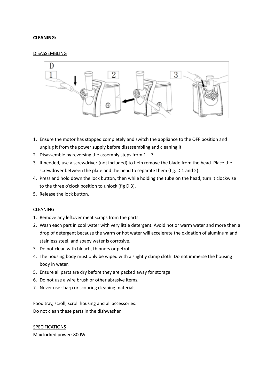#### **CLEANING:**

#### DISASSEMBLING



- 1. Ensure the motor has stopped completely and switch the appliance to the OFF position and unplug it from the power supply before disassembling and cleaning it.
- 2. Disassemble by reversing the assembly steps from  $1 7$ .
- 3. If needed, use a screwdriver (not included) to help remove the blade from the head. Place the screwdriver between the plate and the head to separate them (fig. D 1 and 2).
- 4. Press and hold down the lock button, then while holding the tube on the head, turn it clockwise to the three o'clock position to unlock (fig D 3).
- 5. Release the lock button.

#### CLEANING

- 1. Remove any leftover meat scraps from the parts.
- 2. Wash each part in cool water with very little detergent. Avoid hot or warm water and more then a drop of detergent because the warm or hot water will accelerate the oxidation of aluminum and stainless steel, and soapy water is corrosive.
- 3. Do not clean with bleach, thinners or petrol.
- 4. The housing body must only be wiped with a slightly damp cloth. Do not immerse the housing body in water.
- 5. Ensure all parts are dry before they are packed away for storage.
- 6. Do not use a wire brush or other abrasive items.
- 7. Never use sharp or scouring cleaning materials.

Food tray, scroll, scroll housing and all accessories: Do not clean these parts in the dishwasher.

SPECIFICATIONS Max locked power: 800W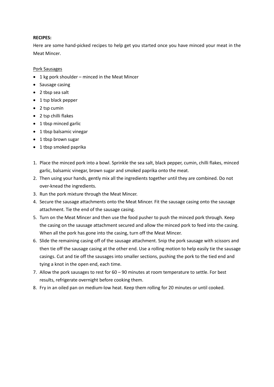#### **RECIPES:**

Here are some hand-picked recipes to help get you started once you have minced your meat in the Meat Mincer.

#### Pork Sausages

- $\bullet$  1 kg pork shoulder minced in the Meat Mincer
- $\bullet$  Sausage casing
- $\bullet$  2 tbsp sea salt
- 1 tsp black pepper
- $\bullet$  2 tsp cumin
- $\bullet$  2 tsp chilli flakes
- $\bullet$  1 tbsp minced garlic
- $\bullet$  1 tbsp balsamic vinegar
- $\bullet$  1 tbsp brown sugar
- 1 tbsp smoked paprika
- 1. Place the minced pork into a bowl. Sprinkle the sea salt, black pepper, cumin, chilli flakes, minced garlic, balsamic vinegar, brown sugar and smoked paprika onto the meat.
- 2. Then using your hands, gently mix all the ingredients together until they are combined. Do not over-knead the ingredients.
- 3. Run the pork mixture through the Meat Mincer.
- 4. Secure the sausage attachments onto the Meat Mincer. Fit the sausage casing onto the sausage attachment. Tie the end of the sausage casing.
- 5. Turn on the Meat Mincer and then use the food pusher to push the minced pork through. Keep the casing on the sausage attachment secured and allow the minced pork to feed into the casing. When all the pork has gone into the casing, turn off the Meat Mincer.
- 6. Slide the remaining casing off of the sausage attachment. Snip the pork sausage with scissors and then tie off the sausage casing at the other end. Use a rolling motion to help easily tie the sausage casings. Cut and tie off the sausages into smaller sections, pushing the pork to the tied end and tying a knot in the open end, each time.
- 7. Allow the pork sausages to rest for 60 90 minutes at room temperature to settle. For best results, refrigerate overnight before cooking them.
- 8. Fry in an oiled pan on medium-low heat. Keep them rolling for 20 minutes or until cooked.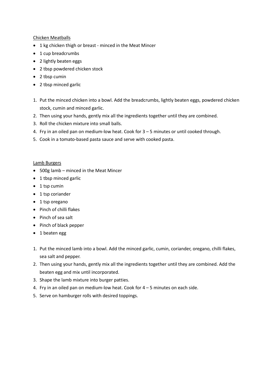#### Chicken Meatballs

- 1 kg chicken thigh or breast minced in the Meat Mincer
- $\bullet$  1 cup breadcrumbs
- 2 lightly beaten eggs
- 2 tbsp powdered chicken stock
- $\bullet$  2 tbsp cumin
- $\bullet$  2 tbsp minced garlic
- 1. Put the minced chicken into a bowl. Add the breadcrumbs, lightly beaten eggs, powdered chicken stock, cumin and minced garlic.
- 2. Then using your hands, gently mix all the ingredients together until they are combined.
- 3. Roll the chicken mixture into small balls.
- 4. Fry in an oiled pan on medium-low heat. Cook for 3 5 minutes or until cooked through.
- 5. Cook in a tomato-based pasta sauce and serve with cooked pasta.

#### Lamb Burgers

- $\bullet$  500g lamb minced in the Meat Mincer
- $\bullet$  1 tbsp minced garlic
- $\bullet$  1 tsp cumin
- $\bullet$  1 tsp coriander
- $\bullet$  1 tsp oregano
- Pinch of chilli flakes
- Pinch of sea salt
- $\bullet$  Pinch of black pepper
- $\bullet$  1 beaten egg
- 1. Put the minced lamb into a bowl. Add the minced garlic, cumin, coriander, oregano, chilli flakes, sea salt and pepper.
- 2. Then using your hands, gently mix all the ingredients together until they are combined. Add the beaten egg and mix until incorporated.
- 3. Shape the lamb mixture into burger patties.
- 4. Fry in an oiled pan on medium-low heat. Cook for 4 5 minutes on each side.
- 5. Serve on hamburger rolls with desired toppings.